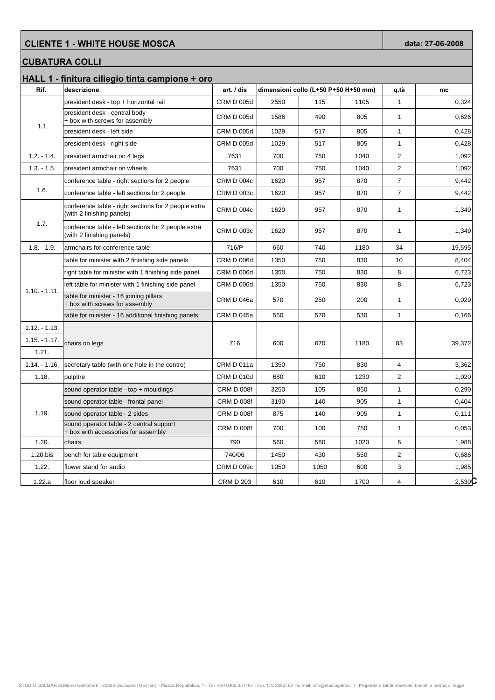## **CLIENTE 1 - WHITE HOUSE MOSCA** data: 27-06-2008

## **CUBATURA COLLI**

|                 | HALL 1 - finitura ciliegio tinta campione + oro                                   |                   |      |                                      |      |                |           |
|-----------------|-----------------------------------------------------------------------------------|-------------------|------|--------------------------------------|------|----------------|-----------|
| Rif.            | descrizione                                                                       | art. / dis        |      | dimensioni collo (L+50 P+50 H+50 mm) |      | q.tà           | mc        |
| 1.1             | president desk - top + horizontal rail                                            | <b>CRM D 005d</b> | 2550 | 115                                  | 1105 | $\mathbf{1}$   | 0,324     |
|                 | president desk - central body<br>+ box with screws for assembly                   | <b>CRM D 005d</b> | 1586 | 490                                  | 805  | $\mathbf{1}$   | 0,626     |
|                 | president desk - left side                                                        | <b>CRM D 005d</b> | 1029 | 517                                  | 805  | $\mathbf{1}$   | 0,428     |
|                 | president desk - right side                                                       | <b>CRM D 005d</b> | 1029 | 517                                  | 805  | $\mathbf{1}$   | 0,428     |
| $1.2. - 1.4.$   | president armchair on 4 legs                                                      | 7631              | 700  | 750                                  | 1040 | $\overline{2}$ | 1,092     |
| $1.3. - 1.5.$   | president armchair on wheels                                                      | 7631              | 700  | 750                                  | 1040 | $\overline{2}$ | 1,092     |
|                 | conference table - right sections for 2 people                                    | <b>CRM D 004c</b> | 1620 | 957                                  | 870  | $\overline{7}$ | 9,442     |
| 1.6.            | conference table - left sections for 2 people                                     | <b>CRM D 003c</b> | 1620 | 957                                  | 870  | $\overline{7}$ | 9,442     |
| 1.7.            | conference table - right sections for 2 people extra<br>(with 2 finishing panels) | CRM D 004c        | 1620 | 957                                  | 870  | 1              | 1,349     |
|                 | conference table - left sections for 2 people extra<br>(with 2 finishing panels)  | <b>CRM D 003c</b> | 1620 | 957                                  | 870  | 1              | 1,349     |
| $1.8 - 1.9$ .   | armchairs for conference table                                                    | 716/P             | 660  | 740                                  | 1180 | 34             | 19,595    |
|                 | table for minister with 2 finishing side panels                                   | <b>CRM D 006d</b> | 1350 | 750                                  | 830  | 10             | 8,404     |
| $1.10 - 1.11$ . | right table for minister with 1 finishing side panel                              | <b>CRM D 006d</b> | 1350 | 750                                  | 830  | 8              | 6,723     |
|                 | left table for minister with 1 finishing side panel                               | <b>CRM D 006d</b> | 1350 | 750                                  | 830  | 8              | 6,723     |
|                 | table for minister - 16 joining pillars<br>+ box with screws for assembly         | CRM D 046a        | 570  | 250                                  | 200  | $\mathbf{1}$   | 0,029     |
|                 | table for minister - 16 additional finishing panels                               | <b>CRM D 045a</b> | 550  | 570                                  | 530  | $\mathbf{1}$   | 0,166     |
| $1.12. - 1.13.$ |                                                                                   |                   |      |                                      |      |                |           |
| $1.15 - 1.17$ . | chairs on legs                                                                    | 716               | 600  | 670                                  | 1180 | 83             | 39,372    |
| 1.21.           |                                                                                   |                   |      |                                      |      |                |           |
| $1.14 - 1.16$ . | secretary table (with one hole in the centre)                                     | CRM D 011a        | 1350 | 750                                  | 830  | $\overline{4}$ | 3,362     |
| 1.18.           | pulpitre                                                                          | <b>CRM D 010d</b> | 680  | 610                                  | 1230 | $\overline{2}$ | 1,020     |
| 1.19.           | sound operator table - top + mouldings                                            | CRM D 008f        | 3250 | 105                                  | 850  | $\mathbf{1}$   | 0,290     |
|                 | sound operator table - frontal panel                                              | <b>CRM D 008f</b> | 3190 | 140                                  | 905  | $\mathbf{1}$   | 0,404     |
|                 | sound operator table - 2 sides                                                    | <b>CRM D 008f</b> | 875  | 140                                  | 905  | 1              | 0,111     |
|                 | sound operator table - 2 central support<br>+ box with accessories for assembly   | <b>CRM D 008f</b> | 700  | 100                                  | 750  | $\mathbf{1}$   | 0,053     |
| 1.20.           | chairs                                                                            | 790               | 560  | 580                                  | 1020 | 6              | 1,988     |
| 1.20.bis        | bench for table equipment                                                         | 740/06            | 1450 | 430                                  | 550  | $\overline{2}$ | 0,686     |
| 1.22.           | flower stand for audio                                                            | <b>CRM D 009c</b> | 1050 | 1050                                 | 600  | 3              | 1,985     |
| 1.22.a          | floor loud speaker                                                                | <b>CRM D 203</b>  | 610  | 610                                  | 1700 | 4              | $2,530$ C |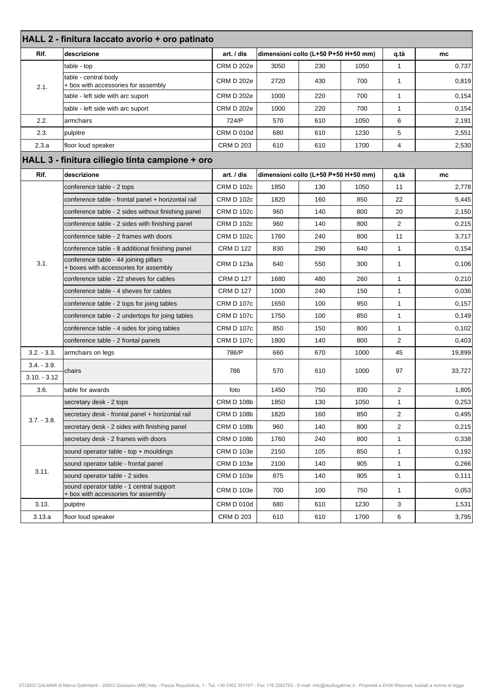| HALL 2 - finitura laccato avorio + oro patinato |                                                                                 |                   |      |                                      |      |                |        |  |
|-------------------------------------------------|---------------------------------------------------------------------------------|-------------------|------|--------------------------------------|------|----------------|--------|--|
| Rif.                                            | descrizione                                                                     | art. / dis        |      | dimensioni collo (L+50 P+50 H+50 mm) |      |                | mc     |  |
| 2.1.                                            | table - top                                                                     | <b>CRM D 202e</b> | 3050 | 230                                  | 1050 | $\mathbf{1}$   | 0,737  |  |
|                                                 | table - central body<br>+ box with accessories for assembly                     | CRM D 202e        | 2720 | 430                                  | 700  | $\mathbf{1}$   | 0,819  |  |
|                                                 | table - left side with arc suport                                               | <b>CRM D 202e</b> | 1000 | 220                                  | 700  | $\mathbf{1}$   | 0,154  |  |
|                                                 | table - left side with arc suport                                               | <b>CRM D 202e</b> | 1000 | 220                                  | 700  | $\mathbf{1}$   | 0,154  |  |
| 2.2.                                            | armchairs                                                                       | 724/P             | 570  | 610                                  | 1050 | 6              | 2,191  |  |
| 2.3.                                            | pulpitre                                                                        | <b>CRM D 010d</b> | 680  | 610                                  | 1230 | 5              | 2,551  |  |
| 2.3.a                                           | floor loud speaker                                                              | <b>CRM D 203</b>  | 610  | 610                                  | 1700 | 4              | 2,530  |  |
|                                                 | HALL 3 - finitura ciliegio tinta campione + oro                                 |                   |      |                                      |      |                |        |  |
| Rif.                                            | descrizione                                                                     | art. / dis        |      | dimensioni collo (L+50 P+50 H+50 mm) |      | q.tà           | mc     |  |
|                                                 | conference table - 2 tops                                                       | <b>CRM D 102c</b> | 1850 | 130                                  | 1050 | 11             | 2,778  |  |
|                                                 | conference table - frontal panel + horizontal rail                              | <b>CRM D 102c</b> | 1820 | 160                                  | 850  | 22             | 5,445  |  |
|                                                 | conference table - 2 sides without finishing panel                              | <b>CRM D 102c</b> | 960  | 140                                  | 800  | 20             | 2,150  |  |
|                                                 | conference table - 2 sides with finishing panel                                 | <b>CRM D 102c</b> | 960  | 140                                  | 800  | 2              | 0,215  |  |
|                                                 | conference table - 2 frames with doors                                          | <b>CRM D 102c</b> | 1760 | 240                                  | 800  | 11             | 3,717  |  |
|                                                 | conference table - 8 additional finishing panel                                 | <b>CRM D 122</b>  | 830  | 290                                  | 640  | $\mathbf{1}$   | 0,154  |  |
| 3.1.                                            | conference table - 44 joining pillars<br>+ boxes with accessories for assembly  | CRM D 123a        | 640  | 550                                  | 300  | $\mathbf{1}$   | 0,106  |  |
|                                                 | conference table - 22 sheves for cables                                         | <b>CRM D 127</b>  | 1680 | 480                                  | 260  | $\mathbf{1}$   | 0,210  |  |
|                                                 | conference table - 4 sheves for cables                                          | <b>CRM D 127</b>  | 1000 | 240                                  | 150  | $\mathbf{1}$   | 0,036  |  |
|                                                 | conference table - 2 tops for joing tables                                      | <b>CRM D 107c</b> | 1650 | 100                                  | 950  | $\mathbf{1}$   | 0,157  |  |
|                                                 | conference table - 2 undertops for joing tables                                 | <b>CRM D 107c</b> | 1750 | 100                                  | 850  | $\mathbf{1}$   | 0,149  |  |
|                                                 | conference table - 4 sides for joing tables                                     | <b>CRM D 107c</b> | 850  | 150                                  | 800  | $\mathbf{1}$   | 0,102  |  |
|                                                 | conference table - 2 frontal panels                                             | <b>CRM D 107c</b> | 1800 | 140                                  | 800  | 2              | 0,403  |  |
| $3.2. - 3.3.$                                   | armchairs on legs                                                               | 786/P             | 660  | 670                                  | 1000 | 45             | 19,899 |  |
| $3.4. - 3.9.$<br>$3.10 - 3.12$                  | chairs                                                                          | 786               | 570  | 610                                  | 1000 | 97             | 33,727 |  |
| 3.6.                                            | table for awards                                                                | foto              | 1450 | 750                                  | 830  | 2              | 1,805  |  |
|                                                 | secretary desk - 2 tops                                                         | <b>CRM D 108b</b> | 1850 | 130                                  | 1050 | 1              | 0,253  |  |
|                                                 | secretary desk - frontal panel + horizontal rail                                | <b>CRM D 108b</b> | 1820 | 160                                  | 850  | 2              | 0,495  |  |
| $3.7 - 3.8$ .                                   | secretary desk - 2 sides with finishing panel                                   | <b>CRM D 108b</b> | 960  | 140                                  | 800  | $\overline{2}$ | 0,215  |  |
|                                                 | secretary desk - 2 frames with doors                                            | <b>CRM D 108b</b> | 1760 | 240                                  | 800  | $\mathbf{1}$   | 0,338  |  |
|                                                 | sound operator table - top + mouldings                                          | <b>CRM D 103e</b> | 2150 | 105                                  | 850  | $\mathbf{1}$   | 0,192  |  |
| 3.11.                                           | sound operator table - frontal panel                                            | <b>CRM D 103e</b> | 2100 | 140                                  | 905  | $\mathbf{1}$   | 0,266  |  |
|                                                 | sound operator table - 2 sides                                                  | <b>CRM D 103e</b> | 875  | 140                                  | 905  | $\mathbf{1}$   | 0,111  |  |
|                                                 | sound operator table - 1 central support<br>+ box with accessories for assembly | <b>CRM D 103e</b> | 700  | 100                                  | 750  | $\mathbf{1}$   | 0,053  |  |
| 3.13.                                           | pulpitre                                                                        | <b>CRM D 010d</b> | 680  | 610                                  | 1230 | 3              | 1,531  |  |
| 3.13.a                                          | floor loud speaker                                                              | <b>CRM D 203</b>  | 610  | 610                                  | 1700 | 6              | 3,795  |  |